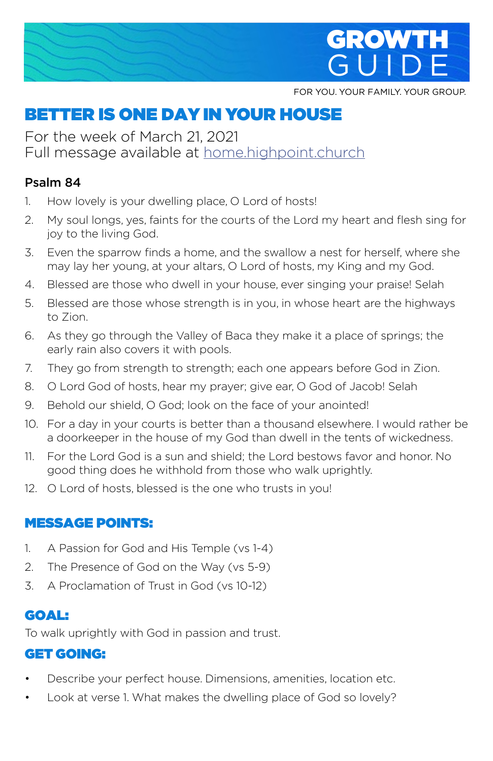

FOR YOU. YOUR FAMILY. YOUR GROUP.

# BETTER IS ONE DAY IN YOUR HOUSE

For the week of March 21, 2021 Full message available at home.highpoint.church

#### Psalm 84

- 1. How lovely is your dwelling place, O Lord of hosts!
- 2. My soul longs, yes, faints for the courts of the Lord my heart and flesh sing for joy to the living God.
- 3. Even the sparrow finds a home, and the swallow a nest for herself, where she may lay her young, at your altars, O Lord of hosts, my King and my God.
- 4. Blessed are those who dwell in your house, ever singing your praise! Selah
- 5. Blessed are those whose strength is in you, in whose heart are the highways to Zion.
- 6. As they go through the Valley of Baca they make it a place of springs; the early rain also covers it with pools.
- 7. They go from strength to strength; each one appears before God in Zion.
- 8. O Lord God of hosts, hear my prayer; give ear, O God of Jacob! Selah
- 9. Behold our shield, O God; look on the face of your anointed!
- 10. For a day in your courts is better than a thousand elsewhere. I would rather be a doorkeeper in the house of my God than dwell in the tents of wickedness.
- 11. For the Lord God is a sun and shield; the Lord bestows favor and honor. No good thing does he withhold from those who walk uprightly.
- 12. O Lord of hosts, blessed is the one who trusts in you!

#### MESSAGE POINTS:

- 1. A Passion for God and His Temple (vs 1-4)
- 2. The Presence of God on the Way (vs 5-9)
- 3. A Proclamation of Trust in God (vs 10-12)

# GOAL:

To walk uprightly with God in passion and trust.

## GET GOING:

- Describe your perfect house. Dimensions, amenities, location etc.
- Look at verse 1. What makes the dwelling place of God so lovely?